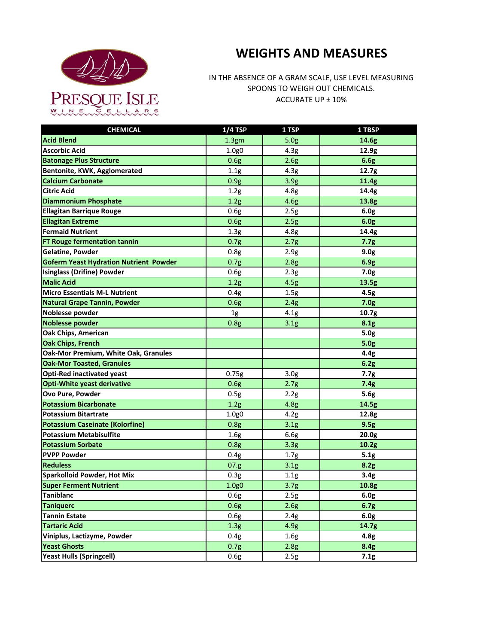

## **WEIGHTS AND MEASURES**

IN THE ABSENCE OF A GRAM SCALE, USE LEVEL MEASURING SPOONS TO WEIGH OUT CHEMICALS. ACCURATE UP ± 10%

| <b>CHEMICAL</b>                               | $1/4$ TSP         | 1 TSP            | 1 TBSP            |
|-----------------------------------------------|-------------------|------------------|-------------------|
| <b>Acid Blend</b>                             | 1.3 <sub>gm</sub> | 5.0 <sub>g</sub> | 14.6g             |
| <b>Ascorbic Acid</b>                          | 1.0g0             | 4.3g             | 12.9g             |
| <b>Batonage Plus Structure</b>                | 0.6g              | 2.6g             | 6.6g              |
| Bentonite, KWK, Agglomerated                  | 1.1g              | 4.3g             | 12.7g             |
| <b>Calcium Carbonate</b>                      | 0.9g              | 3.9 <sub>g</sub> | 11.4g             |
| <b>Citric Acid</b>                            | 1.2g              | 4.8g             | 14.4g             |
| <b>Diammonium Phosphate</b>                   | 1.2g              | 4.6g             | 13.8g             |
| <b>Ellagitan Barrique Rouge</b>               | 0.6g              | 2.5g             | 6.0 <sub>g</sub>  |
| <b>Ellagitan Extreme</b>                      | 0.6g              | 2.5g             | 6.0g              |
| <b>Fermaid Nutrient</b>                       | 1.3 <sub>g</sub>  | 4.8g             | 14.4g             |
| FT Rouge fermentation tannin                  | 0.7g              | 2.7g             | 7.7g              |
| <b>Gelatine, Powder</b>                       | 0.8g              | 2.9g             | 9.0 <sub>g</sub>  |
| <b>Goferm Yeast Hydration Nutrient Powder</b> | 0.7g              | 2.8g             | 6.9g              |
| <b>Isinglass (Drifine) Powder</b>             | 0.6g              | 2.3 <sub>g</sub> | 7.0 <sub>g</sub>  |
| <b>Malic Acid</b>                             | 1.2g              | 4.5g             | 13.5g             |
| <b>Micro Essentials M-L Nutrient</b>          | 0.4g              | 1.5g             | 4.5g              |
| Natural Grape Tannin, Powder                  | 0.6g              | 2.4g             | 7.0 <sub>g</sub>  |
| Noblesse powder                               | 1g                | 4.1g             | 10.7g             |
| <b>Noblesse powder</b>                        | 0.8g              | 3.1 <sub>g</sub> | 8.1g              |
| <b>Oak Chips, American</b>                    |                   |                  | 5.0 <sub>g</sub>  |
| <b>Oak Chips, French</b>                      |                   |                  | 5.0 <sub>g</sub>  |
| Oak-Mor Premium, White Oak, Granules          |                   |                  | 4.4g              |
| <b>Oak-Mor Toasted, Granules</b>              |                   |                  | 6.2g              |
| <b>Opti-Red inactivated yeast</b>             | 0.75g             | 3.0 <sub>g</sub> | 7.7g              |
| <b>Opti-White yeast derivative</b>            | 0.6g              | 2.7g             | 7.4g              |
| Ovo Pure, Powder                              | 0.5g              | 2.2g             | 5.6g              |
| <b>Potassium Bicarbonate</b>                  | 1.2g              | 4.8g             | 14.5g             |
| <b>Potassium Bitartrate</b>                   | 1.0g0             | 4.2g             | 12.8g             |
| <b>Potassium Caseinate (Kolorfine)</b>        | 0.8g              | 3.1g             | 9.5g              |
| <b>Potassium Metabisulfite</b>                | 1.6g              | 6.6g             | 20.0g             |
| <b>Potassium Sorbate</b>                      | 0.8g              | 3.3 <sub>g</sub> | 10.2g             |
| <b>PVPP Powder</b>                            | 0.4g              | 1.7 <sub>g</sub> | 5.1g              |
| <b>Reduless</b>                               | 07.g              | 3.1 <sub>g</sub> | 8.2g              |
| <b>Sparkolloid Powder, Hot Mix</b>            | 0.3g              | 1.1g             | 3.4g              |
| <b>Super Ferment Nutrient</b>                 | 1.0g0             | 3.7 <sub>g</sub> | 10.8g             |
| <b>Taniblanc</b>                              | 0.6g              | 2.5g             | 6.0g              |
| <b>Taniquerc</b>                              | 0.6g              | 2.6g             | 6.7g              |
| <b>Tannin Estate</b>                          | 0.6g              | 2.4g             | 6.0g              |
| <b>Tartaric Acid</b>                          | 1.3 <sub>g</sub>  | 4.9g             | 14.7 <sub>g</sub> |
| Viniplus, Lactizyme, Powder                   | 0.4g              | 1.6 <sub>g</sub> | 4.8 <sub>g</sub>  |
| <b>Yeast Ghosts</b>                           | 0.7g              | 2.8g             | 8.4g              |
| <b>Yeast Hulls (Springcell)</b>               | 0.6g              | 2.5g             | 7.1g              |